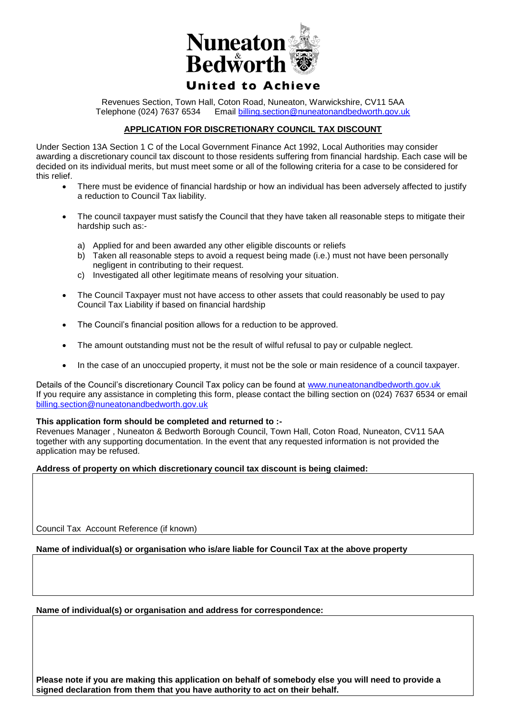

Revenues Section, Town Hall, Coton Road, Nuneaton, Warwickshire, CV11 5AA Telephone (024) 7637 6534 Email [billing.section@nuneatonandbedworth.gov.uk](mailto:billing.section@nuneatonandbedworth.gov.uk)

## **APPLICATION FOR DISCRETIONARY COUNCIL TAX DISCOUNT**

Under Section 13A Section 1 C of the Local Government Finance Act 1992, Local Authorities may consider awarding a discretionary council tax discount to those residents suffering from financial hardship. Each case will be decided on its individual merits, but must meet some or all of the following criteria for a case to be considered for this relief.

- There must be evidence of financial hardship or how an individual has been adversely affected to justify a reduction to Council Tax liability.
- The council taxpayer must satisfy the Council that they have taken all reasonable steps to mitigate their hardship such as:
	- a) Applied for and been awarded any other eligible discounts or reliefs
	- b) Taken all reasonable steps to avoid a request being made (i.e.) must not have been personally negligent in contributing to their request.
	- c) Investigated all other legitimate means of resolving your situation.
- The Council Taxpayer must not have access to other assets that could reasonably be used to pay Council Tax Liability if based on financial hardship
- The Council's financial position allows for a reduction to be approved.
- The amount outstanding must not be the result of wilful refusal to pay or culpable neglect.
- In the case of an unoccupied property, it must not be the sole or main residence of a council taxpayer.

Details of the Council's discretionary Council Tax policy can be found at [www.nuneatonandbedworth.gov.uk](http://www.nuneatonandbedworth.gov.uk/) If you require any assistance in completing this form, please contact the billing section on (024) 7637 6534 or email [billing.section@nuneatonandbedworth.gov.uk](mailto:billing.section@nuneatonandbedworth.gov.uk)

#### **This application form should be completed and returned to :-**

Revenues Manager , Nuneaton & Bedworth Borough Council, Town Hall, Coton Road, Nuneaton, CV11 5AA together with any supporting documentation. In the event that any requested information is not provided the application may be refused.

### **Address of property on which discretionary council tax discount is being claimed:**

Council Tax Account Reference (if known)

**Name of individual(s) or organisation who is/are liable for Council Tax at the above property** 

**Name of individual(s) or organisation and address for correspondence:**

**Please note if you are making this application on behalf of somebody else you will need to provide a signed declaration from them that you have authority to act on their behalf.**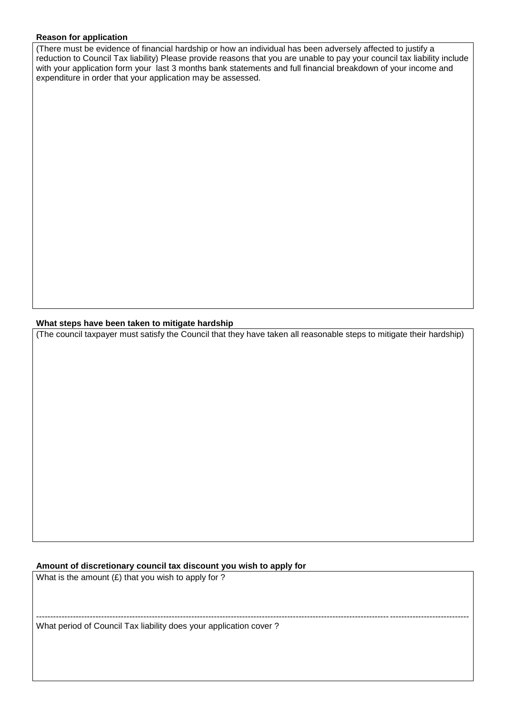## **Reason for application**

(There must be evidence of financial hardship or how an individual has been adversely affected to justify a reduction to Council Tax liability) Please provide reasons that you are unable to pay your council tax liability include with your application form your last 3 months bank statements and full financial breakdown of your income and expenditure in order that your application may be assessed.

## **What steps have been taken to mitigate hardship**

(The council taxpayer must satisfy the Council that they have taken all reasonable steps to mitigate their hardship)

# **Amount of discretionary council tax discount you wish to apply for**

What is the amount  $(E)$  that you wish to apply for ? --------------------------------------------------------------------------------------------------------------------------------------------------------- What period of Council Tax liability does your application cover ?